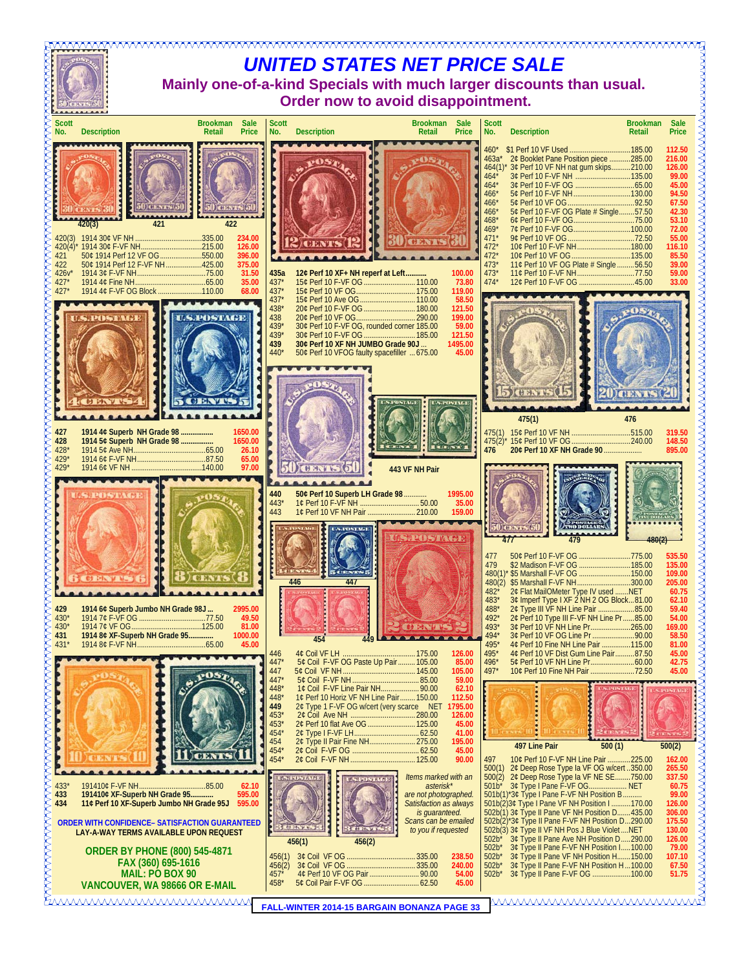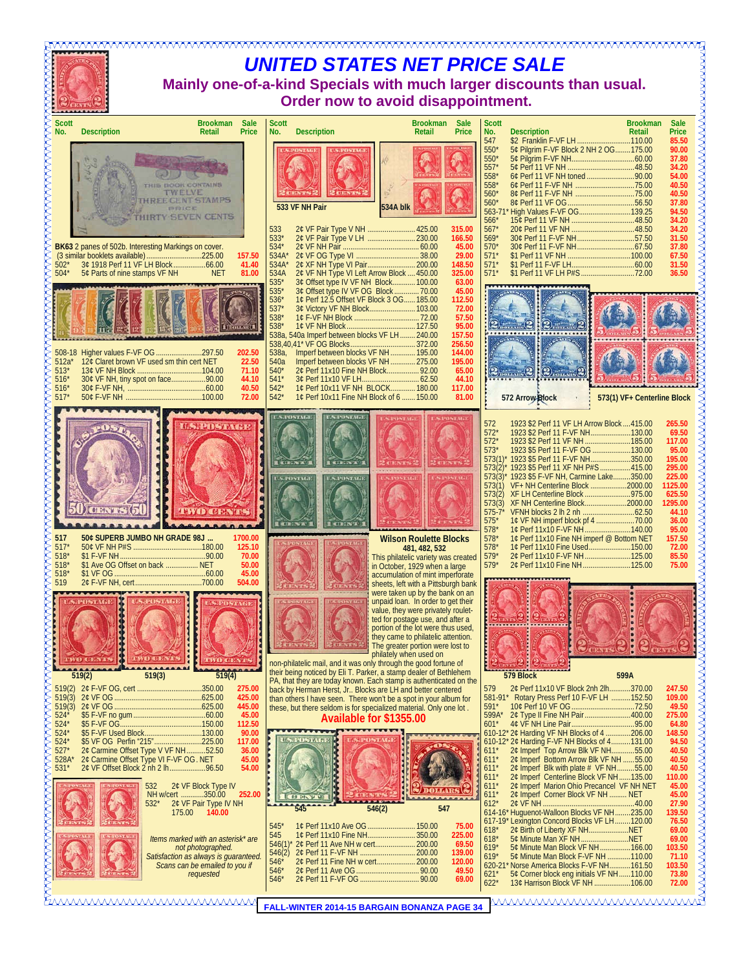| IVVVVVVVVVVVVVVVVVVVVVVVVVVVVVVVV<br><b>UNITED STATES NET PRICE SALE</b><br>Mainly one-of-a-kind Specials with much larger discounts than usual.<br>Order now to avoid disappointment.                                                                                                                                                                                                                                                                                                                                                                                                                                                      |                                                                                                                                                                                                                                                                                                                                                                                                                                                                                                                          |                                                                                                                                                                                                                                                                                           |                                                                                                                                                                                                                                                                                                                                                                                                                                                                                                                                                                                                                                                                                                                                                                                                                                                                                                                                                                                                                                  |                                                                                                                             |  |  |  |  |  |
|---------------------------------------------------------------------------------------------------------------------------------------------------------------------------------------------------------------------------------------------------------------------------------------------------------------------------------------------------------------------------------------------------------------------------------------------------------------------------------------------------------------------------------------------------------------------------------------------------------------------------------------------|--------------------------------------------------------------------------------------------------------------------------------------------------------------------------------------------------------------------------------------------------------------------------------------------------------------------------------------------------------------------------------------------------------------------------------------------------------------------------------------------------------------------------|-------------------------------------------------------------------------------------------------------------------------------------------------------------------------------------------------------------------------------------------------------------------------------------------|----------------------------------------------------------------------------------------------------------------------------------------------------------------------------------------------------------------------------------------------------------------------------------------------------------------------------------------------------------------------------------------------------------------------------------------------------------------------------------------------------------------------------------------------------------------------------------------------------------------------------------------------------------------------------------------------------------------------------------------------------------------------------------------------------------------------------------------------------------------------------------------------------------------------------------------------------------------------------------------------------------------------------------|-----------------------------------------------------------------------------------------------------------------------------|--|--|--|--|--|
| <b>Scott</b><br><b>Sale</b><br>Brookman<br><b>Description</b><br>No.<br>Retail<br>Price                                                                                                                                                                                                                                                                                                                                                                                                                                                                                                                                                     | <b>Scott</b><br><b>Description</b><br>No.                                                                                                                                                                                                                                                                                                                                                                                                                                                                                | <b>Brookman</b><br><b>Sale</b><br>Price<br>Retail                                                                                                                                                                                                                                         | <b>Scott</b><br><b>Brookman</b><br>No.<br><b>Description</b><br>Retail                                                                                                                                                                                                                                                                                                                                                                                                                                                                                                                                                                                                                                                                                                                                                                                                                                                                                                                                                           | <b>Sale</b><br>Price                                                                                                        |  |  |  |  |  |
| <b>HE HOOK CONTAINS</b><br>TWELVE<br><b>REE CENT STAMPS</b><br>PRICE<br>RTY SEVEN CENTS                                                                                                                                                                                                                                                                                                                                                                                                                                                                                                                                                     | 533 VF NH Pair<br>533<br>2¢ VF Pair Type V NH  425.00                                                                                                                                                                                                                                                                                                                                                                                                                                                                    | 534A blk<br>315.00                                                                                                                                                                                                                                                                        | 547<br>\$2 Franklin F-VF LH 110.00<br>550'<br>5¢ Pilgrim F-VF Block 2 NH 2 OG175.00<br>550<br>557'<br>$558*$<br>$558*$<br>$560*$<br>$560*$<br>563-71* High Values F-VF OG139.25<br>566'<br>$567*$                                                                                                                                                                                                                                                                                                                                                                                                                                                                                                                                                                                                                                                                                                                                                                                                                                | 85.50<br>90.00<br>37.80<br>34.20<br>54.00<br>40.50<br>40.50<br>37.80<br>94.50<br>34.20<br>34.20                             |  |  |  |  |  |
| BK63 2 panes of 502b. Interesting Markings on cover.<br>157.50<br>$502^*$<br>41.40<br>5¢ Parts of nine stamps VF NH<br>504'<br><b>NET</b><br>81.00                                                                                                                                                                                                                                                                                                                                                                                                                                                                                          | 533'<br>534<br>$534A*$<br>$534A^*$<br>534A<br>2¢ VF NH Type VI Left Arrow Block  450.00                                                                                                                                                                                                                                                                                                                                                                                                                                  | 166.50<br>45.00<br>29.00<br>148.50<br>325.00                                                                                                                                                                                                                                              | $569*$<br>$570*$<br>571'<br>$571*$<br>$571*$                                                                                                                                                                                                                                                                                                                                                                                                                                                                                                                                                                                                                                                                                                                                                                                                                                                                                                                                                                                     | 31.50<br>37.80<br>67.50<br>31.50<br>36.50                                                                                   |  |  |  |  |  |
| 202.50<br>12¢ Claret brown VF used sm thin cert NET<br>$512a*$<br>22.50<br>71.10<br>$513*$<br>30¢ VF NH, tiny spot on face90.00<br>516<br>44.10<br>40.50<br>516<br>517'<br>72.00                                                                                                                                                                                                                                                                                                                                                                                                                                                            | $535*$<br>3¢ Offset type IV VF NH Block 100.00<br>535'<br>3¢ Offset type IV VF OG Block  70.00<br>1¢ Perf 12.5 Offset VF Block 3 OG 185.00<br>536'<br>537'<br>538*<br>538<br>538a, 540a Imperf between blocks VF LH 240.00<br>Imperf between blocks VF NH  195.00<br>538a,<br>Imperf between blocks VF NH  275.00<br>540a<br>2¢ Perf 11x10 Fine NH Block 92.00<br>$540*$<br>$541*$<br>$542*$<br>1¢ Perf 10x11 VF NH BLOCK 180.00<br>$542*$<br>1¢ Perf 10x11 Fine NH Block of 6  150.00                                   | 63.00<br>45.00<br>112.50<br>72.00<br>57.50<br>95.00<br>157.50<br>256.50<br>144.00<br>195.00<br>65.00<br>44.10<br>117.00<br>81.00                                                                                                                                                          | .<br>573(1) VF+ Centerline Block<br>572 Arrow Block                                                                                                                                                                                                                                                                                                                                                                                                                                                                                                                                                                                                                                                                                                                                                                                                                                                                                                                                                                              |                                                                                                                             |  |  |  |  |  |
|                                                                                                                                                                                                                                                                                                                                                                                                                                                                                                                                                                                                                                             | <b>US.POSTAGE</b><br><b><i>US POSTAGE</i></b><br><b>INISTAGE</b><br><b>INTOSTAGE</b>                                                                                                                                                                                                                                                                                                                                                                                                                                     |                                                                                                                                                                                                                                                                                           | 1923 \$2 Perf 11 VF LH Arrow Block  415.00<br>572<br>$572*$<br>1923 \$2 Perf 11 F-VF NH130.00<br>$572*$<br>1923 \$2 Perf 11 VF NH 185.00<br>$573*$<br>1923 \$5 Perf 11 F-VF OG 130.00<br>573(1)* 1923 \$5 Perf 11 F-VF NH350.00<br>573(2)* 1923 \$5 Perf 11 XF NH P#S  415.00<br>573(3)* 1923 \$5 F-VF NH, Carmine Lake350.00<br>573(1) VF+ NH Centerline Block 2000.00<br>$575*$<br>$578*$<br>10 Perf 11x10 F-VF NH140.00                                                                                                                                                                                                                                                                                                                                                                                                                                                                                                                                                                                                       | 265.50<br>69.50<br>117.00<br>95.00<br>195.00<br>295.00<br>225.00<br>1125.00<br>625.50<br>1295.00<br>44.10<br>36.00<br>95.00 |  |  |  |  |  |
| 50¢ SUPERB JUMBO NH GRADE 98J<br>1700.00<br>517<br>517<br>125.10<br>70.00<br>518<br>50.00<br>518'<br>\$1 Ave OG Offset on back  NET<br>518'<br>45.00<br>519<br>504.00                                                                                                                                                                                                                                                                                                                                                                                                                                                                       |                                                                                                                                                                                                                                                                                                                                                                                                                                                                                                                          | <b>Wilson Roulette Blocks</b><br>481, 482, 532<br>This philatelic variety was created<br>in October, 1929 when a large<br>accumulation of mint imperforate<br>sheets, left with a Pittsburgh bank                                                                                         | 578'<br>1¢ Perf 11x10 Fine NH imperf @ Bottom NET<br>10 Perf 11x10 Fine Used150.00<br>578'<br>$579*$<br>2¢ Perf 11x10 F-VF NH125.00<br>$579*$<br>2¢ Perf 11x10 Fine NH125.00                                                                                                                                                                                                                                                                                                                                                                                                                                                                                                                                                                                                                                                                                                                                                                                                                                                     | 157.50<br>72.00<br>85.50<br>75.00                                                                                           |  |  |  |  |  |
| <b>DECEMBER</b><br>519(3)<br>519(2)<br>519(4)                                                                                                                                                                                                                                                                                                                                                                                                                                                                                                                                                                                               | non-philatelic mail, and it was only through the good fortune of<br>their being noticed by Eli T. Parker, a stamp dealer of Bethlehem                                                                                                                                                                                                                                                                                                                                                                                    | were taken up by the bank on an<br>unpaid loan. In order to get their<br>value, they were privately roulet-<br>ted for postage use, and after a<br>portion of the lot were thus used,<br>they came to philatelic attention.<br>The greater portion were lost to<br>philately when used on | 599A<br>579 Block                                                                                                                                                                                                                                                                                                                                                                                                                                                                                                                                                                                                                                                                                                                                                                                                                                                                                                                                                                                                                | ANNANNAN                                                                                                                    |  |  |  |  |  |
| 275.00<br>519(2)<br>519(3)<br>425.00<br>519(3)<br>445.00<br>$524*$<br>45.00<br>$524*$<br>112.50<br>524'<br>90.00<br>\$5 VF OG Perfin "215"225.00<br>$524*$<br>117.00<br>$527*$<br>2¢ Carmine Offset Type V VF NH52.50<br>36.00<br>528A<br>2¢ Carmine Offset Type VI F-VF OG. NET<br>45.00<br>2¢ VF Offset Block 2 nh 2 lh96.50<br>54.00<br>$531*$<br>2¢ VF Block Type IV<br>532<br>NH w/cert 350.00<br>252.00<br>2¢ VF Pair Type IV NH<br>$532*$<br>140.00<br>175.00<br>Items marked with an asterisk* are<br>not photographed.<br>Satisfaction as always is guaranteed.<br>Scans can be emailed to you if<br>requested<br>www.www.www.www. | PA, that they are today known. Each stamp is authenticated on the<br>back by Herman Herst, Jr Blocks are LH and better centered<br>than others I have seen. There won't be a spot in your album for<br>these, but there seldom is for specialized material. Only one lot.<br>Available for \$1355.00<br><b><i>USTROSYNAM</i></b><br>546(2)<br>$545*$<br>1¢ Perf 11x10 Ave OG  150.00<br>545<br>2¢ Perf 11 Ave NH w cert 200.00<br>$546(1)$ *<br>546(2)<br>2¢ Perf 11 Fine NH w cert 200.00<br>$546*$<br>$546*$<br>$546*$ | 547<br>75.00<br>225.00<br>69.50<br>139.00<br>120.00<br>49.50<br>69.00                                                                                                                                                                                                                     | 579<br>2¢ Perf 11x10 VF Block 2nh 2lh370.00<br>581-91* Rotary Press Perf 10 F-VF LH 152.50<br>$591*$<br>$599A^*$<br>2¢ Type II Fine NH Pair400.00<br>$601*$<br>610-12* 2¢ Harding VF NH Blocks of 4 206.00<br>610-12* 2¢ Harding F-VF NH Blocks of 4131.00<br>2¢ Imperf Top Arrow Blk VF NH55.00<br>$611*$<br>2¢ Imperf Bottom Arrow Blk VF NH 55.00<br>$611*$<br>2¢ Imperf Blk with plate # VF NH55.00<br>$611*$<br>2¢ Imperf Centerline Block VF NH135.00<br>$611*$<br>2¢ Imperf Marion Ohio Precancel VF NH NET<br>$611*$<br>2¢ Imperf Corner Block VF NH  NET<br>$611*$<br>$612*$<br>614-16* Huguenot-Walloon Blocks VF NH235.00<br>617-19* Lexington Concord Blocks VF LH120.00<br>2¢ Birth of Liberty XF NHNET<br>$618*$<br>5¢ Minute Man XF NHNET<br>$618*$<br>$619*$<br>5¢ Minute Man Block VF NH166.00<br>$619*$<br>5¢ Minute Man Block F-VF NH 110.00<br>620-21* Norse America Blocks F-VF NH161.50<br>5¢ Corner block eng initials VF NH 110.00<br>$621*$<br>13¢ Harrison Block VF NH 106.00<br>$622*$<br>wwwwwwwwwww | 247.50<br>109.00<br>275.00<br>103.50                                                                                        |  |  |  |  |  |